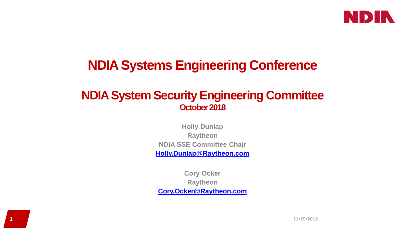

## **NDIA Systems Engineering Conference**

#### **NDIA System Security Engineering Committee October 2018**

**Holly Dunlap Raytheon NDIA SSE Committee Chair [Holly.Dunlap@Raytheon.com](mailto:Holly.Dunlap@Raytheon.com)**

**Cory Ocker Raytheon [Cory.Ocker@Raytheon.com](mailto:Cory.Ocker@Raytheon.com)**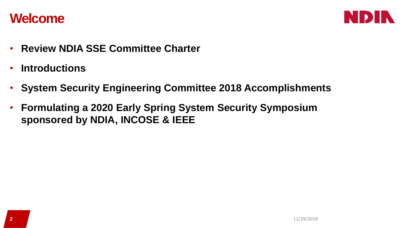### **Welcome**



- **Review NDIA SSE Committee Charter**
- **Introductions**
- **System Security Engineering Committee 2018 Accomplishments**
- **Formulating a 2020 Early Spring System Security Symposium sponsored by NDIA, INCOSE & IEEE**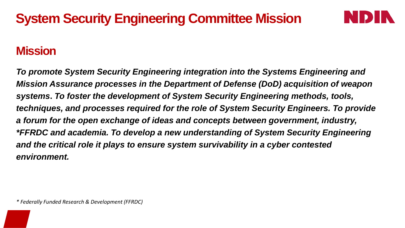# **System Security Engineering Committee Mission**

### **Mission**

*To promote System Security Engineering integration into the Systems Engineering and Mission Assurance processes in the Department of Defense (DoD) acquisition of weapon systems***.** *To foster the development of System Security Engineering methods, tools, techniques, and processes required for the role of System Security Engineers. To provide a forum for the open exchange of ideas and concepts between government, industry, \*FFRDC and academia. To develop a new understanding of System Security Engineering and the critical role it plays to ensure system survivability in a cyber contested environment.*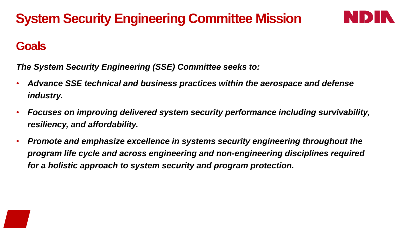# **System Security Engineering Committee Mission**



#### **Goals**

*The System Security Engineering (SSE) Committee seeks to:*

- *Advance SSE technical and business practices within the aerospace and defense industry.*
- *Focuses on improving delivered system security performance including survivability, resiliency, and affordability.*
- *Promote and emphasize excellence in systems security engineering throughout the program life cycle and across engineering and non-engineering disciplines required for a holistic approach to system security and program protection.*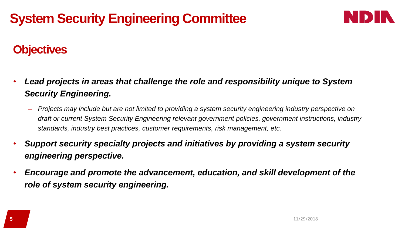# **System Security Engineering Committee**



## **Objectives**

- *Lead projects in areas that challenge the role and responsibility unique to System Security Engineering.*
	- *Projects may include but are not limited to providing a system security engineering industry perspective on draft or current System Security Engineering relevant government policies, government instructions, industry standards, industry best practices, customer requirements, risk management, etc.*
- *Support security specialty projects and initiatives by providing a system security engineering perspective.*
- *Encourage and promote the advancement, education, and skill development of the role of system security engineering.*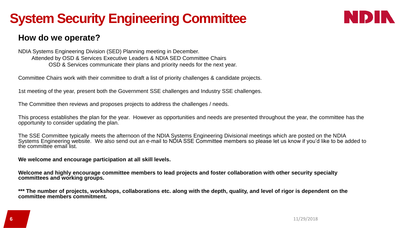# **System Security Engineering Committee**



#### **How do we operate?**

NDIA Systems Engineering Division (SED) Planning meeting in December. Attended by OSD & Services Executive Leaders & NDIA SED Committee Chairs OSD & Services communicate their plans and priority needs for the next year.

Committee Chairs work with their committee to draft a list of priority challenges & candidate projects.

1st meeting of the year, present both the Government SSE challenges and Industry SSE challenges.

The Committee then reviews and proposes projects to address the challenges / needs.

This process establishes the plan for the year. However as opportunities and needs are presented throughout the year, the committee has the opportunity to consider updating the plan.

The SSE Committee typically meets the afternoon of the NDIA Systems Engineering Divisional meetings which are posted on the NDIA Systems Engineering website. We also send out an e-mail to NDIA SSE Committee members so please let us know if you'd like to be added to the committee email list.

**We welcome and encourage participation at all skill levels.** 

**Welcome and highly encourage committee members to lead projects and foster collaboration with other security specialty committees and working groups.** 

**\*\*\* The number of projects, workshops, collaborations etc. along with the depth, quality, and level of rigor is dependent on the committee members commitment.**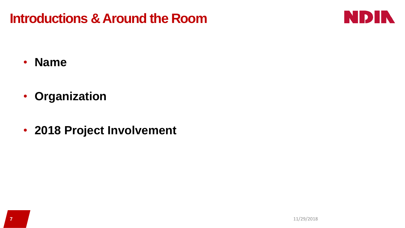## **Introductions & Around the Room**



- **Name**
- **Organization**
- **2018 Project Involvement**